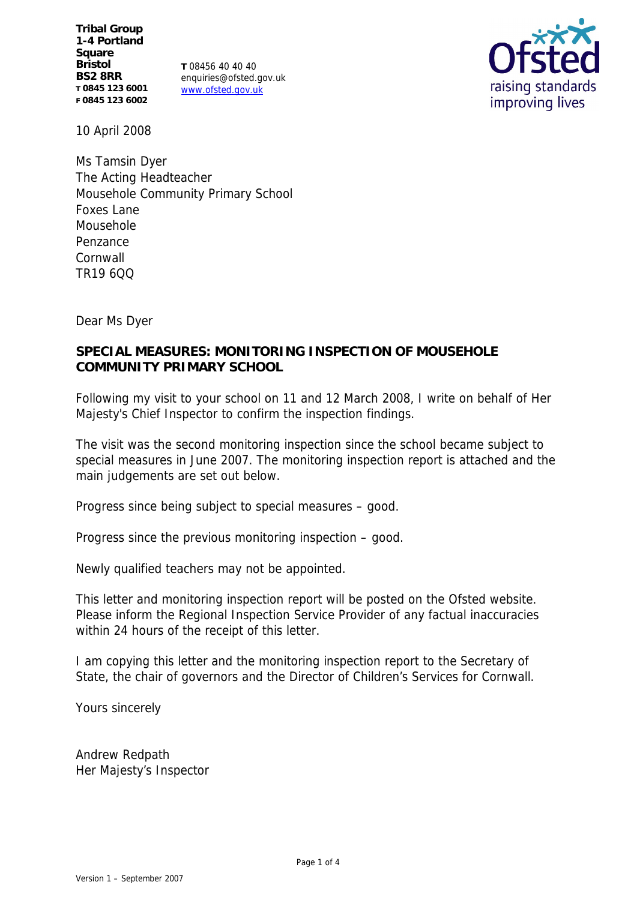**Tribal Group 1-4 Portland Square Bristol BS2 8RR T 0845 123 6001 F 0845 123 6002**

**T** 08456 40 40 40 enquiries@ofsted.gov.uk www.ofsted.gov.uk



10 April 2008

Ms Tamsin Dyer The Acting Headteacher Mousehole Community Primary School Foxes Lane Mousehole Penzance Cornwall TR19 6QQ

Dear Ms Dyer

# **SPECIAL MEASURES: MONITORING INSPECTION OF MOUSEHOLE COMMUNITY PRIMARY SCHOOL**

Following my visit to your school on 11 and 12 March 2008, I write on behalf of Her Majesty's Chief Inspector to confirm the inspection findings.

The visit was the second monitoring inspection since the school became subject to special measures in June 2007. The monitoring inspection report is attached and the main judgements are set out below.

Progress since being subject to special measures – good.

Progress since the previous monitoring inspection – good.

Newly qualified teachers may not be appointed.

This letter and monitoring inspection report will be posted on the Ofsted website. Please inform the Regional Inspection Service Provider of any factual inaccuracies within 24 hours of the receipt of this letter.

I am copying this letter and the monitoring inspection report to the Secretary of State, the chair of governors and the Director of Children's Services for Cornwall.

Yours sincerely

Andrew Redpath Her Majesty's Inspector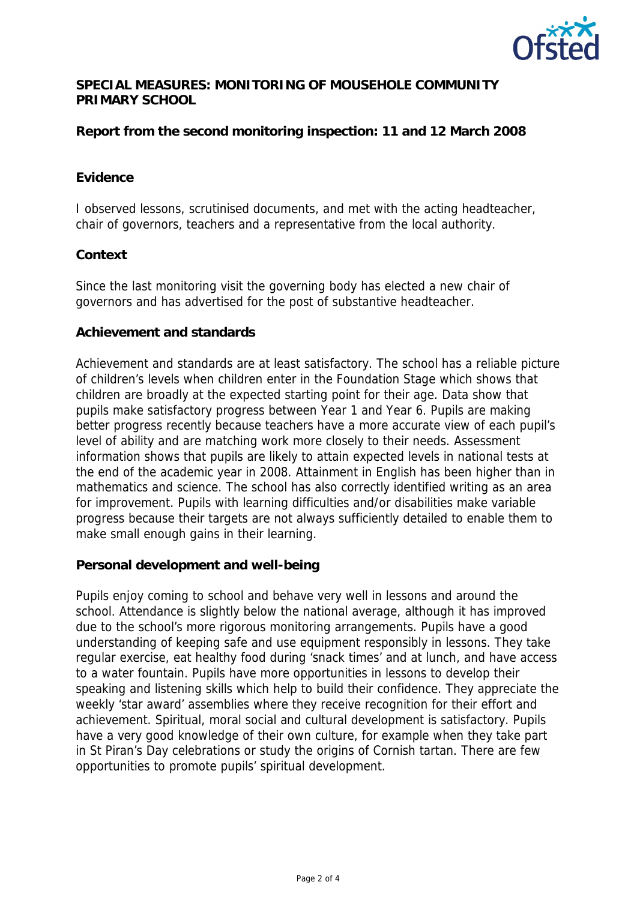

# **SPECIAL MEASURES: MONITORING OF MOUSEHOLE COMMUNITY PRIMARY SCHOOL**

**Report from the second monitoring inspection: 11 and 12 March 2008**

#### **Evidence**

I observed lessons, scrutinised documents, and met with the acting headteacher, chair of governors, teachers and a representative from the local authority.

## **Context**

Since the last monitoring visit the governing body has elected a new chair of governors and has advertised for the post of substantive headteacher.

## **Achievement and standards**

Achievement and standards are at least satisfactory. The school has a reliable picture of children's levels when children enter in the Foundation Stage which shows that children are broadly at the expected starting point for their age. Data show that pupils make satisfactory progress between Year 1 and Year 6. Pupils are making better progress recently because teachers have a more accurate view of each pupil's level of ability and are matching work more closely to their needs. Assessment information shows that pupils are likely to attain expected levels in national tests at the end of the academic year in 2008. Attainment in English has been higher than in mathematics and science. The school has also correctly identified writing as an area for improvement. Pupils with learning difficulties and/or disabilities make variable progress because their targets are not always sufficiently detailed to enable them to make small enough gains in their learning.

**Personal development and well-being**

Pupils enjoy coming to school and behave very well in lessons and around the school. Attendance is slightly below the national average, although it has improved due to the school's more rigorous monitoring arrangements. Pupils have a good understanding of keeping safe and use equipment responsibly in lessons. They take regular exercise, eat healthy food during 'snack times' and at lunch, and have access to a water fountain. Pupils have more opportunities in lessons to develop their speaking and listening skills which help to build their confidence. They appreciate the weekly 'star award' assemblies where they receive recognition for their effort and achievement. Spiritual, moral social and cultural development is satisfactory. Pupils have a very good knowledge of their own culture, for example when they take part in St Piran's Day celebrations or study the origins of Cornish tartan. There are few opportunities to promote pupils' spiritual development.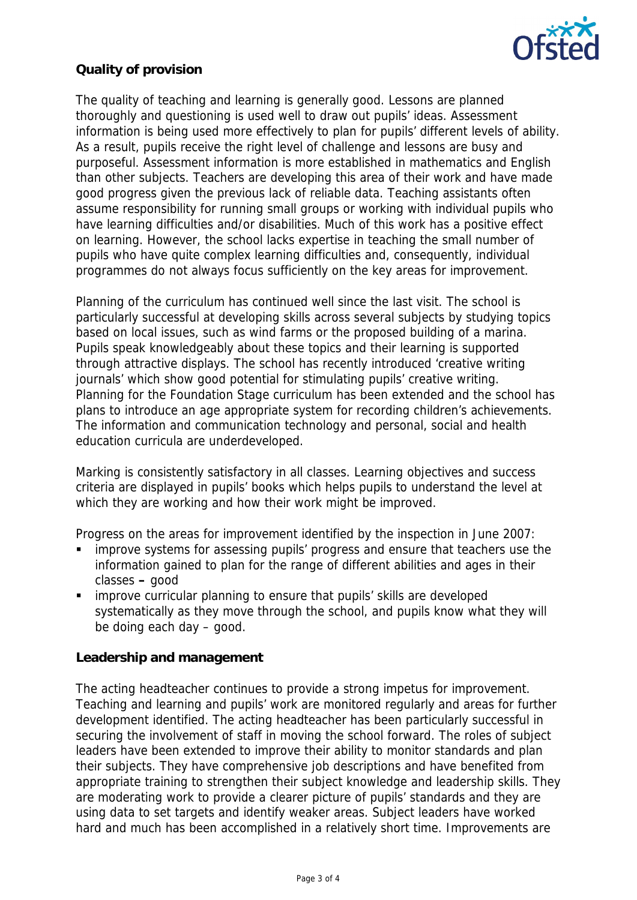

# **Quality of provision**

The quality of teaching and learning is generally good. Lessons are planned thoroughly and questioning is used well to draw out pupils' ideas. Assessment information is being used more effectively to plan for pupils' different levels of ability. As a result, pupils receive the right level of challenge and lessons are busy and purposeful. Assessment information is more established in mathematics and English than other subjects. Teachers are developing this area of their work and have made good progress given the previous lack of reliable data. Teaching assistants often assume responsibility for running small groups or working with individual pupils who have learning difficulties and/or disabilities. Much of this work has a positive effect on learning. However, the school lacks expertise in teaching the small number of pupils who have quite complex learning difficulties and, consequently, individual programmes do not always focus sufficiently on the key areas for improvement.

Planning of the curriculum has continued well since the last visit. The school is particularly successful at developing skills across several subjects by studying topics based on local issues, such as wind farms or the proposed building of a marina. Pupils speak knowledgeably about these topics and their learning is supported through attractive displays. The school has recently introduced 'creative writing journals' which show good potential for stimulating pupils' creative writing. Planning for the Foundation Stage curriculum has been extended and the school has plans to introduce an age appropriate system for recording children's achievements. The information and communication technology and personal, social and health education curricula are underdeveloped.

Marking is consistently satisfactory in all classes. Learning objectives and success criteria are displayed in pupils' books which helps pupils to understand the level at which they are working and how their work might be improved.

Progress on the areas for improvement identified by the inspection in June 2007:

- improve systems for assessing pupils' progress and ensure that teachers use the information gained to plan for the range of different abilities and ages in their classes **–** good
- improve curricular planning to ensure that pupils' skills are developed systematically as they move through the school, and pupils know what they will be doing each day – good.

**Leadership and management**

The acting headteacher continues to provide a strong impetus for improvement. Teaching and learning and pupils' work are monitored regularly and areas for further development identified. The acting headteacher has been particularly successful in securing the involvement of staff in moving the school forward. The roles of subject leaders have been extended to improve their ability to monitor standards and plan their subjects. They have comprehensive job descriptions and have benefited from appropriate training to strengthen their subject knowledge and leadership skills. They are moderating work to provide a clearer picture of pupils' standards and they are using data to set targets and identify weaker areas. Subject leaders have worked hard and much has been accomplished in a relatively short time. Improvements are